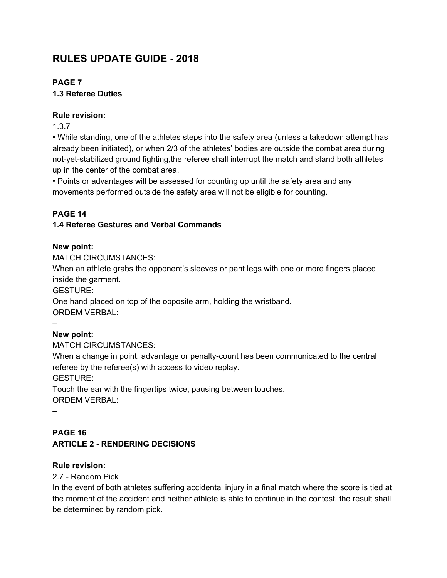# **RULES UPDATE GUIDE - 2018**

# **PAGE 7**

# **1.3 Referee Duties**

### **Rule revision:**

1.3.7

• While standing, one of the athletes steps into the safety area (unless a takedown attempt has already been initiated), or when 2/3 of the athletes' bodies are outside the combat area during not-yet-stabilized ground fighting,the referee shall interrupt the match and stand both athletes up in the center of the combat area.

• Points or advantages will be assessed for counting up until the safety area and any movements performed outside the safety area will not be eligible for counting.

# **PAGE 14**

# **1.4 Referee Gestures and Verbal Commands**

# **New point:**

MATCH CIRCUMSTANCES:

When an athlete grabs the opponent's sleeves or pant legs with one or more fingers placed inside the garment.

GESTURE:

One hand placed on top of the opposite arm, holding the wristband. ORDEM VERBAL:

# **New point:**

MATCH CIRCUMSTANCES:

When a change in point, advantage or penalty-count has been communicated to the central referee by the referee(s) with access to video replay.

GESTURE:

Touch the ear with the fingertips twice, pausing between touches. ORDEM VERBAL:

–

–

# **PAGE 16 ARTICLE 2 - RENDERING DECISIONS**

# **Rule revision:**

2.7 - Random Pick

In the event of both athletes suffering accidental injury in a final match where the score is tied at the moment of the accident and neither athlete is able to continue in the contest, the result shall be determined by random pick.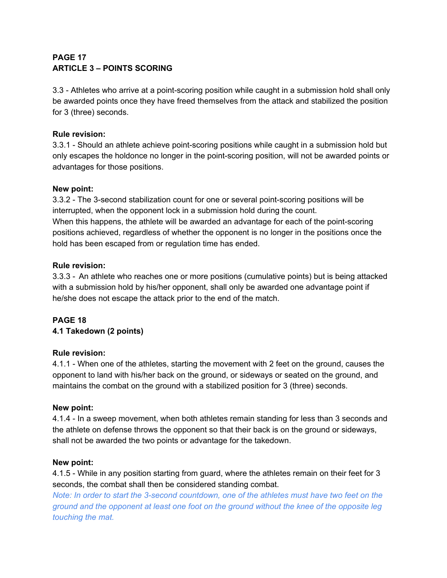# **PAGE 17 ARTICLE 3 – POINTS SCORING**

3.3 - Athletes who arrive at a point-scoring position while caught in a submission hold shall only be awarded points once they have freed themselves from the attack and stabilized the position for 3 (three) seconds.

# **Rule revision:**

3.3.1 - Should an athlete achieve point-scoring positions while caught in a submission hold but only escapes the holdonce no longer in the point-scoring position, will not be awarded points or advantages for those positions.

#### **New point:**

3.3.2 - The 3-second stabilization count for one or several point-scoring positions will be interrupted, when the opponent lock in a submission hold during the count. When this happens, the athlete will be awarded an advantage for each of the point-scoring positions achieved, regardless of whether the opponent is no longer in the positions once the hold has been escaped from or regulation time has ended.

#### **Rule revision:**

3.3.3 - An athlete who reaches one or more positions (cumulative points) but is being attacked with a submission hold by his/her opponent, shall only be awarded one advantage point if he/she does not escape the attack prior to the end of the match.

# **PAGE 18 4.1 Takedown (2 points)**

# **Rule revision:**

4.1.1 - When one of the athletes, starting the movement with 2 feet on the ground, causes the opponent to land with his/her back on the ground, or sideways or seated on the ground, and maintains the combat on the ground with a stabilized position for 3 (three) seconds.

# **New point:**

4.1.4 - In a sweep movement, when both athletes remain standing for less than 3 seconds and the athlete on defense throws the opponent so that their back is on the ground or sideways, shall not be awarded the two points or advantage for the takedown.

#### **New point:**

4.1.5 - While in any position starting from guard, where the athletes remain on their feet for 3 seconds, the combat shall then be considered standing combat.

*Note: In order to start the 3-second countdown, one of the athletes must have two feet on the ground and the opponent at least one foot on the ground without the knee of the opposite leg touching the mat.*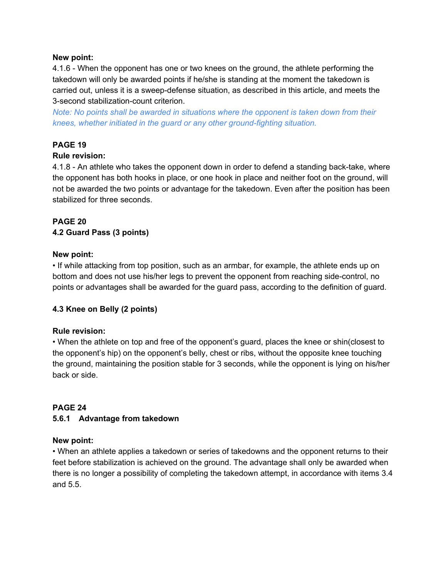#### **New point:**

4.1.6 - When the opponent has one or two knees on the ground, the athlete performing the takedown will only be awarded points if he/she is standing at the moment the takedown is carried out, unless it is a sweep-defense situation, as described in this article, and meets the 3-second stabilization-count criterion.

*Note: No points shall be awarded in situations where the opponent is taken down from their knees, whether initiated in the guard or any other ground-fighting situation.*

# **PAGE 19**

#### **Rule revision:**

4.1.8 - An athlete who takes the opponent down in order to defend a standing back-take, where the opponent has both hooks in place, or one hook in place and neither foot on the ground, will not be awarded the two points or advantage for the takedown. Even after the position has been stabilized for three seconds.

# **PAGE 20**

# **4.2 Guard Pass (3 points)**

#### **New point:**

• If while attacking from top position, such as an armbar, for example, the athlete ends up on bottom and does not use his/her legs to prevent the opponent from reaching side-control, no points or advantages shall be awarded for the guard pass, according to the definition of guard.

# **4.3 Knee on Belly (2 points)**

#### **Rule revision:**

• When the athlete on top and free of the opponent's guard, places the knee or shin(closest to the opponent's hip) on the opponent's belly, chest or ribs, without the opposite knee touching the ground, maintaining the position stable for 3 seconds, while the opponent is lying on his/her back or side.

#### **PAGE 24**

#### **5.6.1 Advantage from takedown**

#### **New point:**

• When an athlete applies a takedown or series of takedowns and the opponent returns to their feet before stabilization is achieved on the ground. The advantage shall only be awarded when there is no longer a possibility of completing the takedown attempt, in accordance with items 3.4 and 5.5.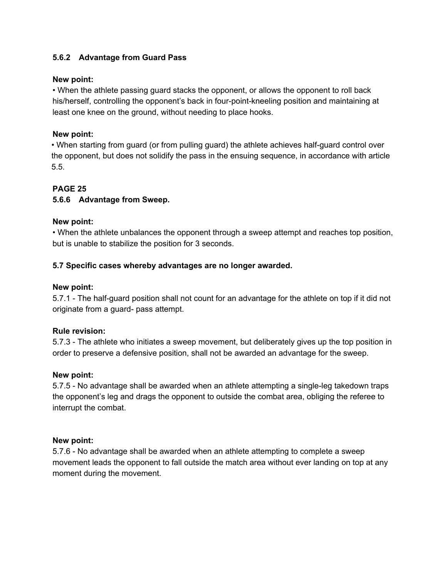#### **5.6.2 Advantage from Guard Pass**

#### **New point:**

• When the athlete passing guard stacks the opponent, or allows the opponent to roll back his/herself, controlling the opponent's back in four-point-kneeling position and maintaining at least one knee on the ground, without needing to place hooks.

#### **New point:**

• When starting from guard (or from pulling guard) the athlete achieves half-guard control over the opponent, but does not solidify the pass in the ensuing sequence, in accordance with article 5.5.

# **PAGE 25**

#### **5.6.6 Advantage from Sweep.**

#### **New point:**

• When the athlete unbalances the opponent through a sweep attempt and reaches top position, but is unable to stabilize the position for 3 seconds.

#### **5.7 Specific cases whereby advantages are no longer awarded.**

#### **New point:**

5.7.1 - The half-guard position shall not count for an advantage for the athlete on top if it did not originate from a guard- pass attempt.

#### **Rule revision:**

5.7.3 - The athlete who initiates a sweep movement, but deliberately gives up the top position in order to preserve a defensive position, shall not be awarded an advantage for the sweep.

#### **New point:**

5.7.5 - No advantage shall be awarded when an athlete attempting a single-leg takedown traps the opponent's leg and drags the opponent to outside the combat area, obliging the referee to interrupt the combat.

#### **New point:**

5.7.6 - No advantage shall be awarded when an athlete attempting to complete a sweep movement leads the opponent to fall outside the match area without ever landing on top at any moment during the movement.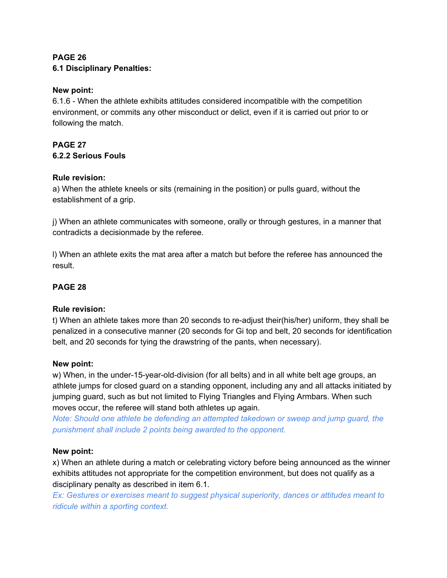# **PAGE 26 6.1 Disciplinary Penalties:**

#### **New point:**

6.1.6 - When the athlete exhibits attitudes considered incompatible with the competition environment, or commits any other misconduct or delict, even if it is carried out prior to or following the match.

# **PAGE 27 6.2.2 Serious Fouls**

#### **Rule revision:**

a) When the athlete kneels or sits (remaining in the position) or pulls guard, without the establishment of a grip.

j) When an athlete communicates with someone, orally or through gestures, in a manner that contradicts a decisionmade by the referee.

l) When an athlete exits the mat area after a match but before the referee has announced the result.

# **PAGE 28**

# **Rule revision:**

t) When an athlete takes more than 20 seconds to re-adjust their(his/her) uniform, they shall be penalized in a consecutive manner (20 seconds for Gi top and belt, 20 seconds for identification belt, and 20 seconds for tying the drawstring of the pants, when necessary).

#### **New point:**

w) When, in the under-15-year-old-division (for all belts) and in all white belt age groups, an athlete jumps for closed guard on a standing opponent, including any and all attacks initiated by jumping guard, such as but not limited to Flying Triangles and Flying Armbars. When such moves occur, the referee will stand both athletes up again.

*Note: Should one athlete be defending an attempted takedown or sweep and jump guard, the punishment shall include 2 points being awarded to the opponent.*

#### **New point:**

x) When an athlete during a match or celebrating victory before being announced as the winner exhibits attitudes not appropriate for the competition environment, but does not qualify as a disciplinary penalty as described in item 6.1.

*Ex: Gestures or exercises meant to suggest physical superiority, dances or attitudes meant to ridicule within a sporting context.*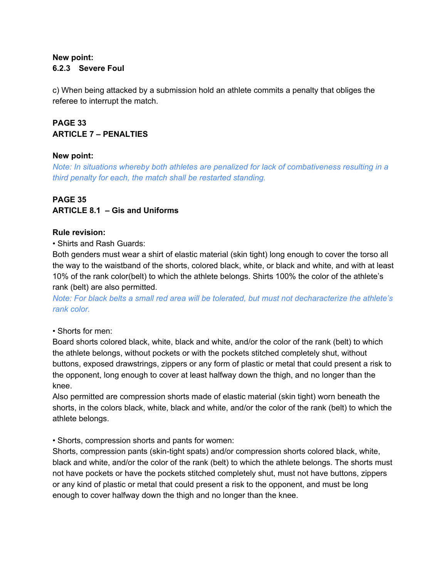#### **New point: 6.2.3 Severe Foul**

c) When being attacked by a submission hold an athlete commits a penalty that obliges the referee to interrupt the match.

# **PAGE 33 ARTICLE 7 – PENALTIES**

#### **New point:**

*Note: In situations whereby both athletes are penalized for lack of combativeness resulting in a third penalty for each, the match shall be restarted standing.*

# **PAGE 35 ARTICLE 8.1 – Gis and Uniforms**

#### **Rule revision:**

• Shirts and Rash Guards:

Both genders must wear a shirt of elastic material (skin tight) long enough to cover the torso all the way to the waistband of the shorts, colored black, white, or black and white, and with at least 10% of the rank color(belt) to which the athlete belongs. Shirts 100% the color of the athlete's rank (belt) are also permitted.

*Note: For black belts a small red area will be tolerated, but must not decharacterize the athlete's rank color.*

#### • Shorts for men:

Board shorts colored black, white, black and white, and/or the color of the rank (belt) to which the athlete belongs, without pockets or with the pockets stitched completely shut, without buttons, exposed drawstrings, zippers or any form of plastic or metal that could present a risk to the opponent, long enough to cover at least halfway down the thigh, and no longer than the knee.

Also permitted are compression shorts made of elastic material (skin tight) worn beneath the shorts, in the colors black, white, black and white, and/or the color of the rank (belt) to which the athlete belongs.

• Shorts, compression shorts and pants for women:

Shorts, compression pants (skin-tight spats) and/or compression shorts colored black, white, black and white, and/or the color of the rank (belt) to which the athlete belongs. The shorts must not have pockets or have the pockets stitched completely shut, must not have buttons, zippers or any kind of plastic or metal that could present a risk to the opponent, and must be long enough to cover halfway down the thigh and no longer than the knee.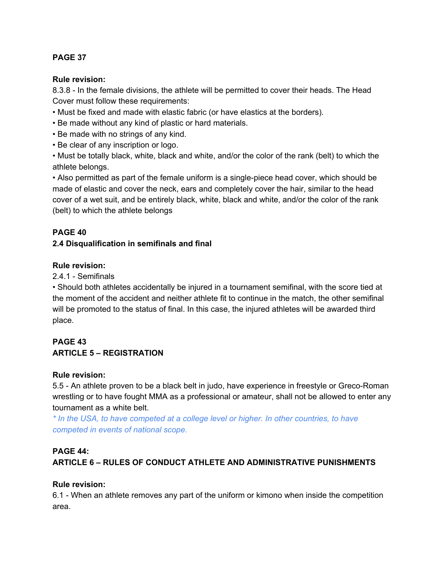#### **PAGE 37**

#### **Rule revision:**

8.3.8 - In the female divisions, the athlete will be permitted to cover their heads. The Head Cover must follow these requirements:

- Must be fixed and made with elastic fabric (or have elastics at the borders).
- Be made without any kind of plastic or hard materials.
- Be made with no strings of any kind.
- Be clear of any inscription or logo.

• Must be totally black, white, black and white, and/or the color of the rank (belt) to which the athlete belongs.

• Also permitted as part of the female uniform is a single-piece head cover, which should be made of elastic and cover the neck, ears and completely cover the hair, similar to the head cover of a wet suit, and be entirely black, white, black and white, and/or the color of the rank (belt) to which the athlete belongs

#### **PAGE 40**

#### **2.4 Disqualification in semifinals and final**

#### **Rule revision:**

2.4.1 - Semifinals

• Should both athletes accidentally be injured in a tournament semifinal, with the score tied at the moment of the accident and neither athlete fit to continue in the match, the other semifinal will be promoted to the status of final. In this case, the injured athletes will be awarded third place.

# **PAGE 43 ARTICLE 5 – REGISTRATION**

#### **Rule revision:**

5.5 - An athlete proven to be a black belt in judo, have experience in freestyle or Greco-Roman wrestling or to have fought MMA as a professional or amateur, shall not be allowed to enter any tournament as a white belt.

*\* In the USA, to have competed at a college level or higher. In other countries, to have competed in events of national scope.*

#### **PAGE 44:**

# **ARTICLE 6 – RULES OF CONDUCT ATHLETE AND ADMINISTRATIVE PUNISHMENTS**

#### **Rule revision:**

6.1 - When an athlete removes any part of the uniform or kimono when inside the competition area.